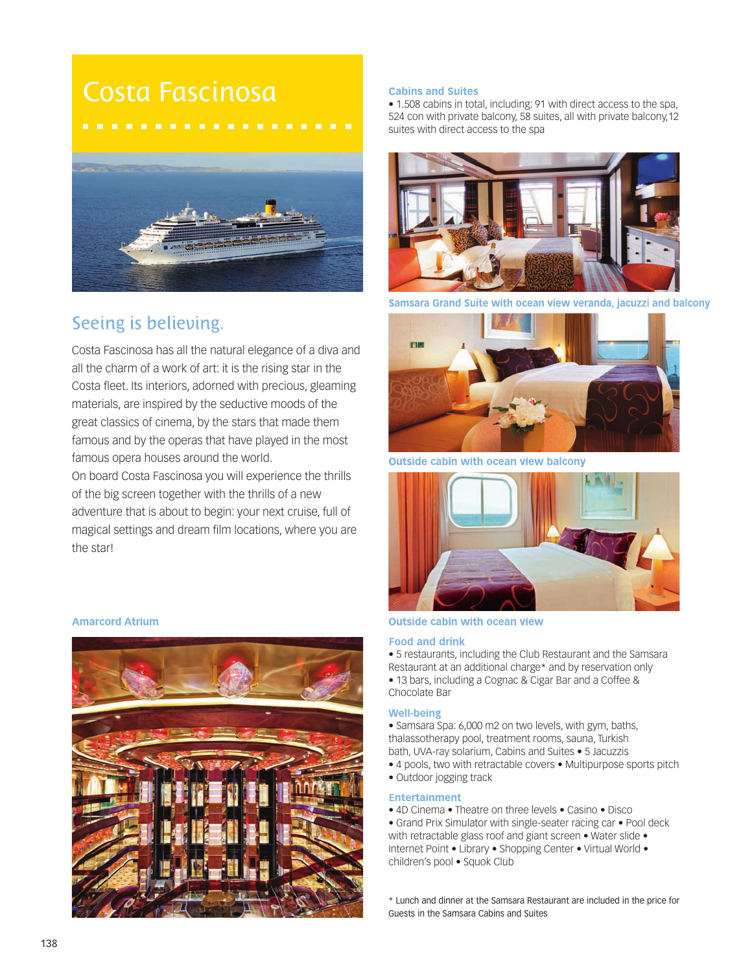# Costa Fascinosa



# Seeing is believing.

Costa Fascinosa has all the natural elegance of a diva and all the charm of a work of art: it is the rising star in the Costa fleet. Its interiors, adorned with precious, gleaming materials, are inspired by the seductive moods of the great classics of cinema, by the stars that made them famous and by the operas that have played in the most famous opera houses around the world.

On board Costa Fascinosa you will experience the thrills of the big screen together with the thrills of a new adventure that is about to begin: your next cruise, full of magical settings and dream film locations, where you are the star!

### **Amarcord Atrium**



## **Cabins and Suites**

• 1.508 cabins in total, including: 91 with direct access to the spa, 524 con with private balcony, 58 suites, all with private balcony,12 suites with direct access to the spa



**Samsara Grand Suite** ocean view veranda, jacuzzi and balcony



**Outside cabin with ocean view balcony** 



# **Outside cabin with ocean view**

#### **Food and drink**

• 5 restaurants, including the Club Restaurant and the Samsara Restaurant at an additional charge\* and by reservation only • 13 bars, including a Cognac & Cigar Bar and a Coffee & Chocolate Bar

#### **Well-being**

• Samsara Spa: 6,000 m2 on two levels, with gym, baths, thalassotherapy pool, treatment rooms, sauna, Turkish bath, UVA-ray solarium, Cabins and Suites • 5 Jacuzzis • 4 pools, two with retractable covers • Multipurpose sports pitch

• Outdoor jogging track

### **Entertainment**

- 4D Cinema Theatre on three levels Casino Disco
- Grand Prix Simulator with single-seater racing car Pool deck with retractable glass roof and giant screen • Water slide • Internet Point • Library • Shopping Center • Virtual World • children's pool • Squok Club
- \* Lunch and dinner at the Samsara Restaurant are included in the price for Guests in the Samsara Cabins and Suites